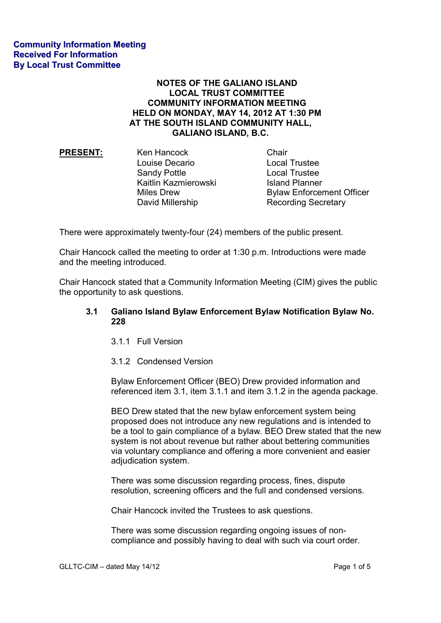## **NOTES OF THE GALIANO ISLAND LOCAL TRUST COMMITTEE COMMUNITY INFORMATION MEETING HELD ON MONDAY, MAY 14, 2012 AT 1:30 PM AT THE SOUTH ISLAND COMMUNITY HALL, GALIANO ISLAND, B.C.**

**PRESENT:** Ken Hancock Chair Louise Decario Local Trustee Sandy Pottle **Local Trustee** Kaitlin Kazmierowski **Island Planner** 

Miles Drew **Bylaw Enforcement Officer** David Millership Recording Secretary

There were approximately twenty-four (24) members of the public present.

Chair Hancock called the meeting to order at 1:30 p.m. Introductions were made and the meeting introduced.

Chair Hancock stated that a Community Information Meeting (CIM) gives the public the opportunity to ask questions.

## **3.1 Galiano Island Bylaw Enforcement Bylaw Notification Bylaw No. 228**

- 3.1.1 Full Version
- 3.1.2 Condensed Version

Bylaw Enforcement Officer (BEO) Drew provided information and referenced item 3.1, item 3.1.1 and item 3.1.2 in the agenda package.

BEO Drew stated that the new bylaw enforcement system being proposed does not introduce any new regulations and is intended to be a tool to gain compliance of a bylaw. BEO Drew stated that the new system is not about revenue but rather about bettering communities via voluntary compliance and offering a more convenient and easier adjudication system.

There was some discussion regarding process, fines, dispute resolution, screening officers and the full and condensed versions.

Chair Hancock invited the Trustees to ask questions.

There was some discussion regarding ongoing issues of non compliance and possibly having to deal with such via court order.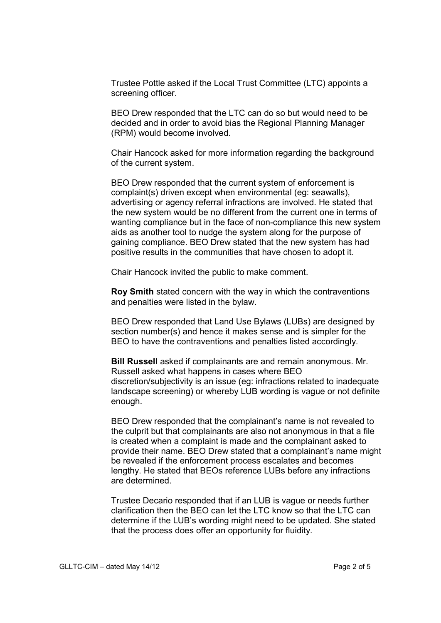Trustee Pottle asked if the Local Trust Committee (LTC) appoints a screening officer.

BEO Drew responded that the LTC can do so but would need to be decided and in order to avoid bias the Regional Planning Manager (RPM) would become involved.

Chair Hancock asked for more information regarding the background of the current system.

BEO Drew responded that the current system of enforcement is complaint(s) driven except when environmental (eg: seawalls), advertising or agency referral infractions are involved. He stated that the new system would be no different from the current one in terms of wanting compliance but in the face of non-compliance this new system aids as another tool to nudge the system along for the purpose of gaining compliance. BEO Drew stated that the new system has had positive results in the communities that have chosen to adopt it.

Chair Hancock invited the public to make comment.

**Roy Smith** stated concern with the way in which the contraventions and penalties were listed in the bylaw.

BEO Drew responded that Land Use Bylaws (LUBs) are designed by section number(s) and hence it makes sense and is simpler for the BEO to have the contraventions and penalties listed accordingly.

**Bill Russell** asked if complainants are and remain anonymous. Mr. Russell asked what happens in cases where BEO discretion/subjectivity is an issue (eg: infractions related to inadequate landscape screening) or whereby LUB wording is vague or not definite enough.

BEO Drew responded that the complainant's name is not revealed to the culprit but that complainants are also not anonymous in that a file is created when a complaint is made and the complainant asked to provide their name. BEO Drew stated that a complainant's name might be revealed if the enforcement process escalates and becomes lengthy. He stated that BEOs reference LUBs before any infractions are determined.

Trustee Decario responded that if an LUB is vague or needs further clarification then the BEO can let the LTC know so that the LTC can determine if the LUB's wording might need to be updated. She stated that the process does offer an opportunity for fluidity.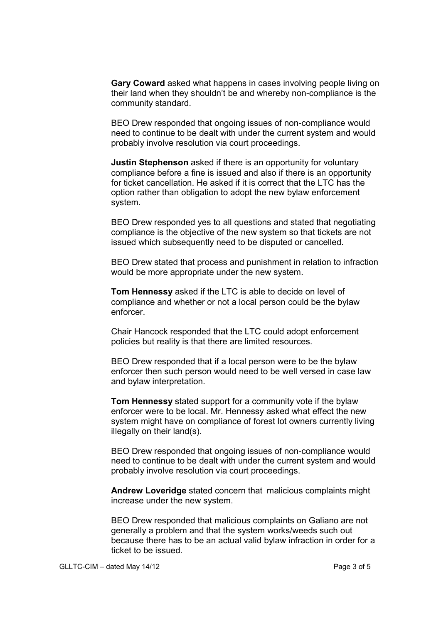**Gary Coward** asked what happens in cases involving people living on their land when they shouldn't be and whereby non-compliance is the community standard.

BEO Drew responded that ongoing issues of non-compliance would need to continue to be dealt with under the current system and would probably involve resolution via court proceedings.

**Justin Stephenson** asked if there is an opportunity for voluntary compliance before a fine is issued and also if there is an opportunity for ticket cancellation. He asked if it is correct that the LTC has the option rather than obligation to adopt the new bylaw enforcement system.

BEO Drew responded yes to all questions and stated that negotiating compliance is the objective of the new system so that tickets are not issued which subsequently need to be disputed or cancelled.

BEO Drew stated that process and punishment in relation to infraction would be more appropriate under the new system.

**Tom Hennessy** asked if the LTC is able to decide on level of compliance and whether or not a local person could be the bylaw enforcer.

Chair Hancock responded that the LTC could adopt enforcement policies but reality is that there are limited resources.

BEO Drew responded that if a local person were to be the bylaw enforcer then such person would need to be well versed in case law and bylaw interpretation.

**Tom Hennessy** stated support for a community vote if the bylaw enforcer were to be local. Mr. Hennessy asked what effect the new system might have on compliance of forest lot owners currently living illegally on their land(s).

BEO Drew responded that ongoing issues of non-compliance would need to continue to be dealt with under the current system and would probably involve resolution via court proceedings.

**Andrew Loveridge** stated concern that malicious complaints might increase under the new system.

BEO Drew responded that malicious complaints on Galiano are not generally a problem and that the system works/weeds such out because there has to be an actual valid bylaw infraction in order for a ticket to be issued.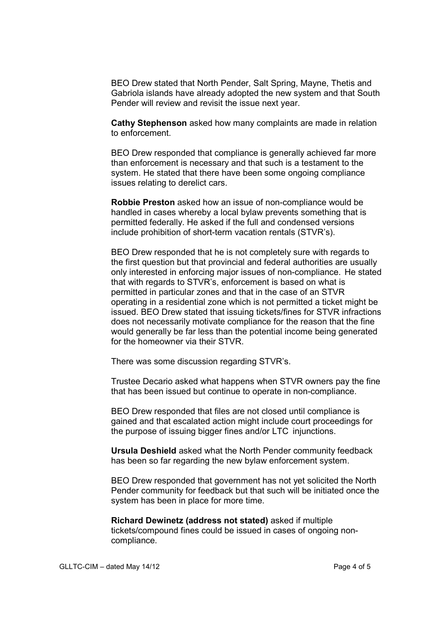BEO Drew stated that North Pender, Salt Spring, Mayne, Thetis and Gabriola islands have already adopted the new system and that South Pender will review and revisit the issue next year.

**Cathy Stephenson** asked how many complaints are made in relation to enforcement.

BEO Drew responded that compliance is generally achieved far more than enforcement is necessary and that such is a testament to the system. He stated that there have been some ongoing compliance issues relating to derelict cars.

**Robbie Preston** asked how an issue of non-compliance would be handled in cases whereby a local bylaw prevents something that is permitted federally. He asked if the full and condensed versions include prohibition of short-term vacation rentals (STVR's).

BEO Drew responded that he is not completely sure with regards to the first question but that provincial and federal authorities are usually only interested in enforcing major issues of non-compliance. He stated that with regards to STVR's, enforcement is based on what is permitted in particular zones and that in the case of an STVR operating in a residential zone which is not permitted a ticket might be issued. BEO Drew stated that issuing tickets/fines for STVR infractions does not necessarily motivate compliance for the reason that the fine would generally be far less than the potential income being generated for the homeowner via their STVR.

There was some discussion regarding STVR's.

Trustee Decario asked what happens when STVR owners pay the fine that has been issued but continue to operate in non-compliance.

BEO Drew responded that files are not closed until compliance is gained and that escalated action might include court proceedings for the purpose of issuing bigger fines and/or LTC injunctions.

**Ursula Deshield** asked what the North Pender community feedback has been so far regarding the new bylaw enforcement system.

BEO Drew responded that government has not yet solicited the North Pender community for feedback but that such will be initiated once the system has been in place for more time.

**Richard Dewinetz (address not stated)** asked if multiple tickets/compound fines could be issued in cases of ongoing non compliance.